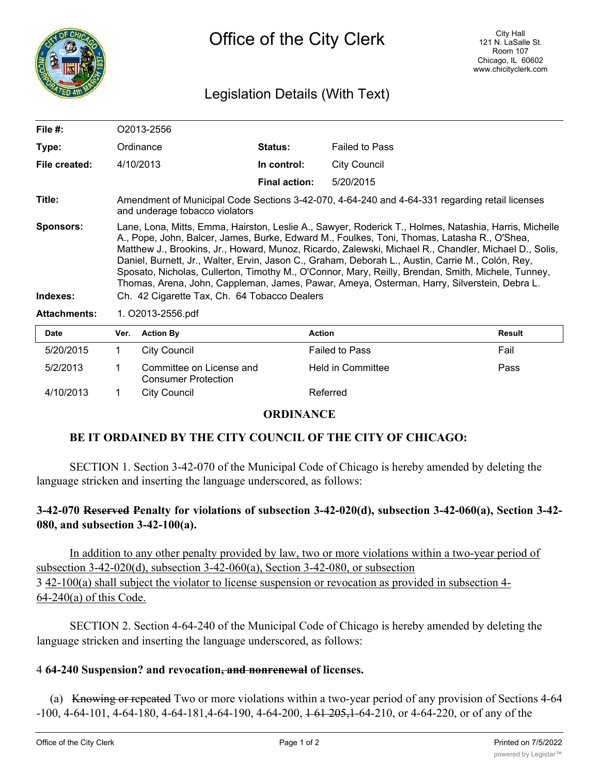

# Legislation Details (With Text)

| File $#$ :                   |                                                                                                                                                                                                                                                                                                                                                                                                                                                                                                                                                                                                                         | O2013-2556                                                                                                                       |                      |                       |        |  |  |  |
|------------------------------|-------------------------------------------------------------------------------------------------------------------------------------------------------------------------------------------------------------------------------------------------------------------------------------------------------------------------------------------------------------------------------------------------------------------------------------------------------------------------------------------------------------------------------------------------------------------------------------------------------------------------|----------------------------------------------------------------------------------------------------------------------------------|----------------------|-----------------------|--------|--|--|--|
| Type:                        |                                                                                                                                                                                                                                                                                                                                                                                                                                                                                                                                                                                                                         | Ordinance                                                                                                                        | <b>Status:</b>       | <b>Failed to Pass</b> |        |  |  |  |
| File created:                |                                                                                                                                                                                                                                                                                                                                                                                                                                                                                                                                                                                                                         | 4/10/2013                                                                                                                        | In control:          | <b>City Council</b>   |        |  |  |  |
|                              |                                                                                                                                                                                                                                                                                                                                                                                                                                                                                                                                                                                                                         |                                                                                                                                  | <b>Final action:</b> | 5/20/2015             |        |  |  |  |
| Title:                       |                                                                                                                                                                                                                                                                                                                                                                                                                                                                                                                                                                                                                         | Amendment of Municipal Code Sections 3-42-070, 4-64-240 and 4-64-331 regarding retail licenses<br>and underage tobacco violators |                      |                       |        |  |  |  |
| <b>Sponsors:</b><br>Indexes: | Lane, Lona, Mitts, Emma, Hairston, Leslie A., Sawyer, Roderick T., Holmes, Natashia, Harris, Michelle<br>A., Pope, John, Balcer, James, Burke, Edward M., Foulkes, Toni, Thomas, Latasha R., O'Shea,<br>Matthew J., Brookins, Jr., Howard, Munoz, Ricardo, Zalewski, Michael R., Chandler, Michael D., Solis,<br>Daniel, Burnett, Jr., Walter, Ervin, Jason C., Graham, Deborah L., Austin, Carrie M., Colón, Rey,<br>Sposato, Nicholas, Cullerton, Timothy M., O'Connor, Mary, Reilly, Brendan, Smith, Michele, Tunney,<br>Thomas, Arena, John, Cappleman, James, Pawar, Ameya, Osterman, Harry, Silverstein, Debra L. |                                                                                                                                  |                      |                       |        |  |  |  |
|                              | Ch. 42 Cigarette Tax, Ch. 64 Tobacco Dealers                                                                                                                                                                                                                                                                                                                                                                                                                                                                                                                                                                            |                                                                                                                                  |                      |                       |        |  |  |  |
| <b>Attachments:</b>          | 1. O2013-2556.pdf                                                                                                                                                                                                                                                                                                                                                                                                                                                                                                                                                                                                       |                                                                                                                                  |                      |                       |        |  |  |  |
| <b>Date</b>                  | Ver.                                                                                                                                                                                                                                                                                                                                                                                                                                                                                                                                                                                                                    | <b>Action By</b>                                                                                                                 | <b>Action</b>        |                       | Result |  |  |  |
| 5/20/2015                    |                                                                                                                                                                                                                                                                                                                                                                                                                                                                                                                                                                                                                         | City Council                                                                                                                     |                      | <b>Failed to Pass</b> | Fail   |  |  |  |

| 5/20/2015 | City Council                                           | <b>Failed to Pass</b> | Fail |
|-----------|--------------------------------------------------------|-----------------------|------|
| 5/2/2013  | Committee on License and<br><b>Consumer Protection</b> | Held in Committee     | Pass |
| 4/10/2013 | City Council                                           | Referred              |      |

#### **ORDINANCE**

## **BE IT ORDAINED BY THE CITY COUNCIL OF THE CITY OF CHICAGO:**

SECTION 1. Section 3-42-070 of the Municipal Code of Chicago is hereby amended by deleting the language stricken and inserting the language underscored, as follows:

## **3-42-070 Reserved Penalty for violations of subsection 3-42-020(d), subsection 3-42-060(a), Section 3-42- 080, and subsection 3-42-100(a).**

In addition to any other penalty provided by law, two or more violations within a two-year period of subsection 3-42-020(d), subsection 3-42-060(a), Section 3-42-080, or subsection 3 42-100(a) shall subject the violator to license suspension or revocation as provided in subsection 4- 64-240(a) of this Code.

SECTION 2. Section 4-64-240 of the Municipal Code of Chicago is hereby amended by deleting the language stricken and inserting the language underscored, as follows:

#### 4 **64-240 Suspension? and revocation, and nonrenewal of licenses.**

(a) Knowing or repeated Two or more violations within a two-year period of any provision of Sections 4-64 -100, 4-64-101, 4-64-180, 4-64-181,4-64-190, 4-64-200, 1 61 205,1-64-210, or 4-64-220, or of any of the